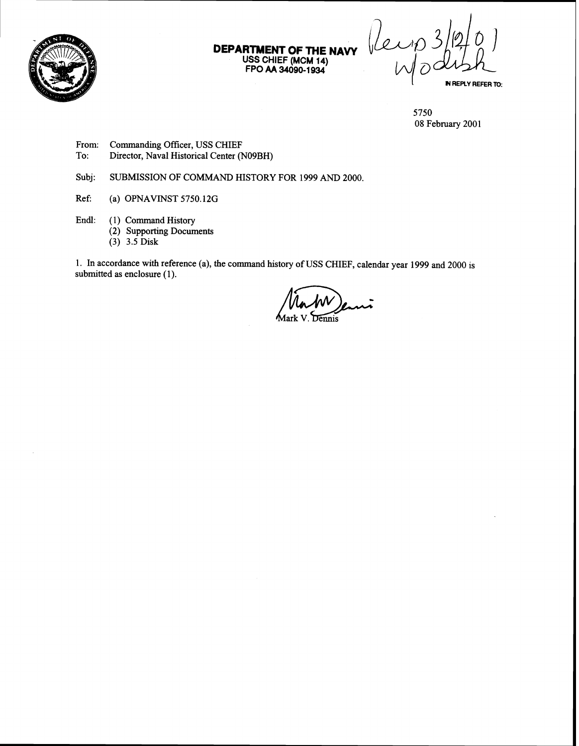

**DEPARTMENT OF THE NAVY USS CHIEF (MCM 14) FPO AA 34090-1 934** 

IN REPLY REFER TO:

5750 08 February 2001

- From: Commanding Officer, USS CHIEF<br>To: Director, Naval Historical Center (1)
- Director, Naval Historical Center (N09BH)

Subj: SUBMISSION OF COMMAND HISTORY FOR 1999 AND 2000.

- Ref: (a) OPNAVINST 5750.12G
- Endl: (1) Command History
	- (2) Supporting Documents
	- (3) 3.5 Disk

1. In accordance with reference (a), the command history of USS CHIEF, calendar year 1999 and 2000 is ubmitted as enclosure (1).<br>
Mark V. Dennis submitted as enclosure (1).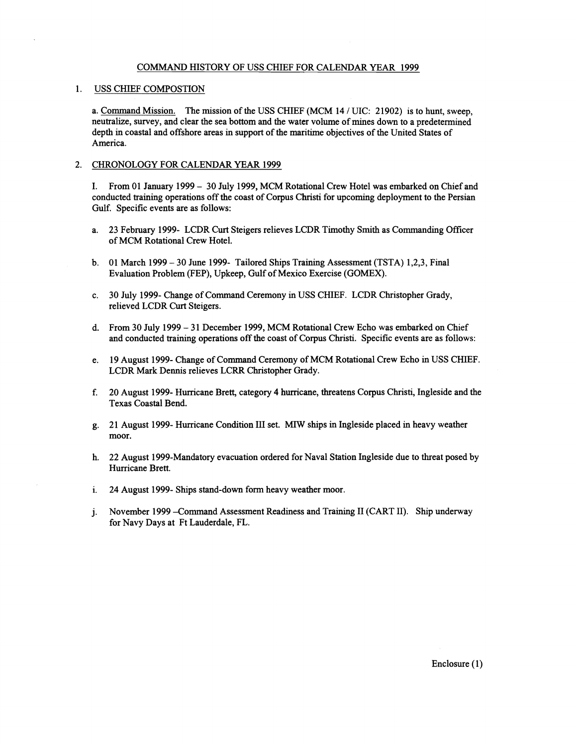## COMMAND HISTORY OF USS CHIEF FOR CALENDAR YEAR 1999

# 1. USS CHIEF COMPOSTION

a. Command Mission. The mission of the USS CHIEF (MCM 14 / UIC: 21902) is to hunt, sweep, neutralize, survey, and clear the sea bottom and the water volume of mines down to a predetermined depth in coastal and offshore areas in support of the maritime objectives of the United States of America.

#### 2. CHRONOLOGY FOR CALENDAR YEAR 1999

I. From 01 January 1999 - 30 July 1999, MCM Rotational Crew Hotel was embarked on Chief and conducted training operations off the coast of Corpus Christi for upcoming deployment to the Persian Gulf. Specific events are as follows:

- a. 23 February 1999- LCDR Curt Steigers relieves LCDR Timothy Smith as Commanding Officer of MCM Rotational Crew Hotel.
- b. 01 March 1999 30 June 1999- Tailored Ships Training Assessment (TSTA) 1,2,3, Final Evaluation Problem (FEP), Upkeep, Gulf of Mexico Exercise (GOMEX).
- C. 30 July 1999- Change of Command Ceremony in USS CHIEF. LCDR Christopher Grady, relieved LCDR Curt Steigers.
- d. From 30 July 1999 31 December 1999, MCM Rotational Crew Echo was embarked on Chief and conducted training operations off the coast of Corpus Christi. Specific events are as follows:
- e. 19 August 1999- Change of Command Ceremony of MCM Rotational Crew Echo in USS CHIEF. LCDR Mark Dennis relieves LCRR Christopher Grady.
- f. 20 August 1999- Hurricane Brett, category 4 hurricane, threatens Corpus Christi, Ingleside and the Texas Coastal Bend.
- g. 21 August 1999- Hurricane Condition I11 set. MIW ships in Ingleside placed in heavy weather moor.
- h. 22 August 1999-Mandatory evacuation ordered for Naval Station Ingleside due to threat posed by Hurricane Brett.
- i. 24 August 1999- Ships stand-down form heavy weather moor.
- j. November 1999 -Command Assessment Readiness and Training I1 (CART 11). Ship underway for Navy Days at Ft Lauderdale, FL.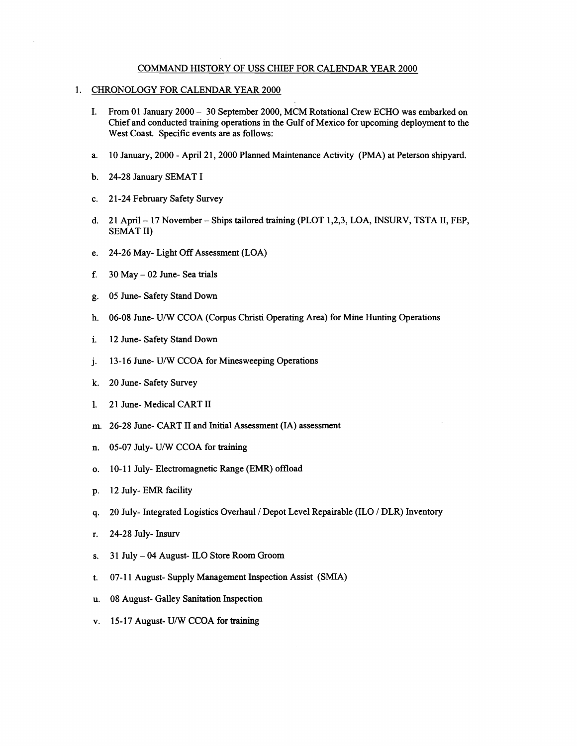## COMMAND HISTORY OF USS CHIEF FOR CALENDAR YEAR 2000

## CHRONOLOGY FOR CALENDAR YEAR 2000

- I. From 01 January 2000 30 September 2000, MCM Rotational Crew ECHO was embarked on Chef and conducted training operations **in** the Gulf of Mexico for upcoming deployment to the West Coast. Specific events are as follows:
- a. 10 January, 2000 April 21, 2000 Planned Maintenance Activity (PMA) at Peterson shipyard.
- b. 24-28 January SEMAT I
- c. 21-24 February Safety Survey
- d. 21 April 17 November Ships tailored training (PLOT 1,2,3, LOA, INSURV, TSTA II, FEP, SEMAT 11)
- e. 24-26 May- Light Off Assessment (LOA)
- f.  $30$  May  $-02$  June-Sea trials
- g. 05 June- Safety Stand Down
- h. 06-08 June- U/W CCOA (Corpus Christi Operating Area) for Mine Hunting Operations
- **i.** 12 June- Safety Stand Down
- j. 13-16 June- U/W CCOA for Minesweeping Operations
- k. 20 June- Safety Survey
- 1. 21 June- Medical CART II
- m. 26-28 June- CART I1 and Initial Assessment **(IA)** assessment
- n. 05-07 July- U/W CCOA for training
- o. 10-11 July- Electromagnetic Range (EMR) offload
- p. 12 July- EMR facility
- **q.** 20 July- Integrated Logistics Overhaul / Depot Level Repairable (ILO / DLR) Inventory
- r. 24-28 July- Insurv
- s. 31 July 04 August- ILO Store Room Groom
- t. 07-1 1 August- Supply Management Inspection Assist (SMIA)
- u. 08 August- Galley Sanitation Inspection
- v. 15-17 August- U/W CCOA for **training**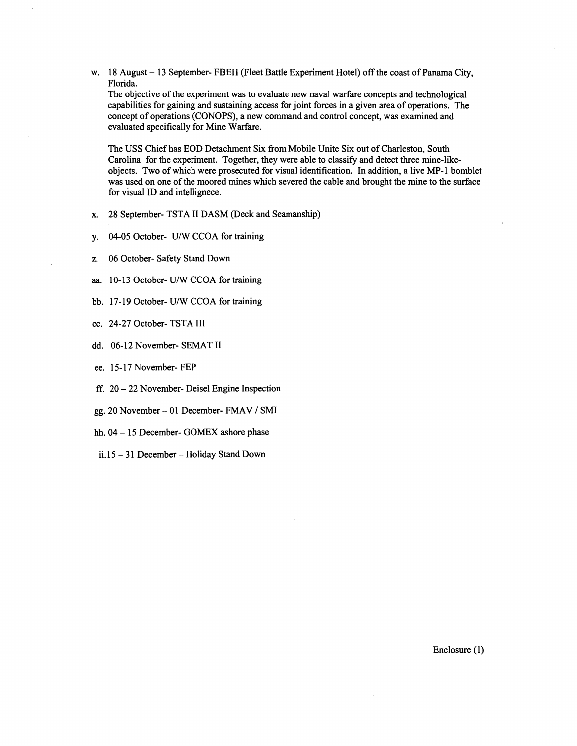w. 18 August - 13 September- FBEH (Fleet Battle Experiment Hotel) off the coast of Panama City, Florida.

The objective of the experiment was to evaluate new naval warfare concepts and technological capabilities for gaining and sustaining access for joint forces in a given area of operations. The concept of operations (CONOPS), a new command and control concept, was examined and evaluated specifically for Mine Warfare.

The USS Chief has EOD Detachment Six from Mobile Unite Six out of Charleston, South Carolina for the experiment. Together, they were able to classify and detect three mine-likeobjects. Two of which were prosecuted for visual identification. In addition, a live MP-1 bomblet was used on one of the moored mines which severed the cable and brought the mine to the surface for visual ID and intellignece.

- x. 28 September- TSTA I1 DASM (Deck and Seamanship)
- y. 04-05 October- U/W CCOA for training
- z. 06 October- Safety Stand Down
- **aa.** 10- 13 October- U/W CCOA for training
- bb. 17-19 October- U/W CCOA for training
- cc. 24-27 October- TSTA I11
- dd. 06-12 November- SEMAT I1
- ee. 15-17 November- FEP
- ff. 20 22 November- Deisel Engine Inspection
- gg. 20 November 01 December- FMAV / SMI
- hh. 04 15 December- GOMEX ashore phase
- ii. 15 31 December Holiday Stand Down

Enclosure (1)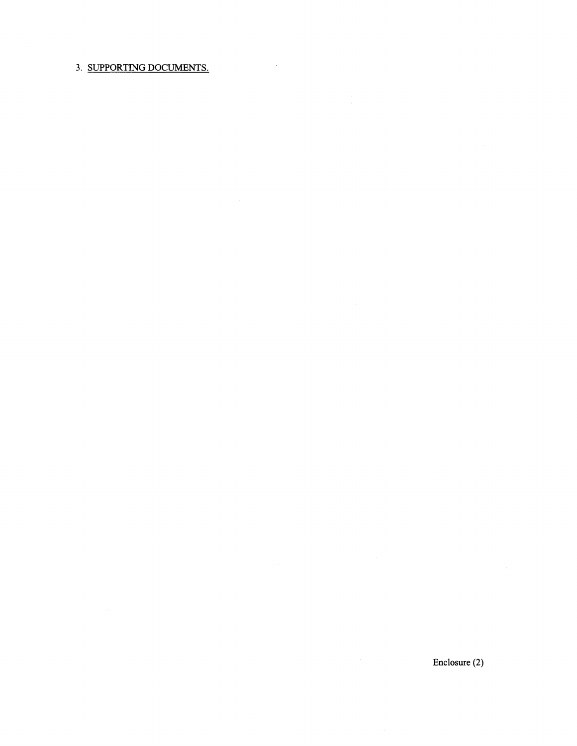# 3. SUPPORTING DOCUMENTS.

 $\hat{\boldsymbol{\theta}}$ 

 $\sim 10^{-10}$ 

 $\sim$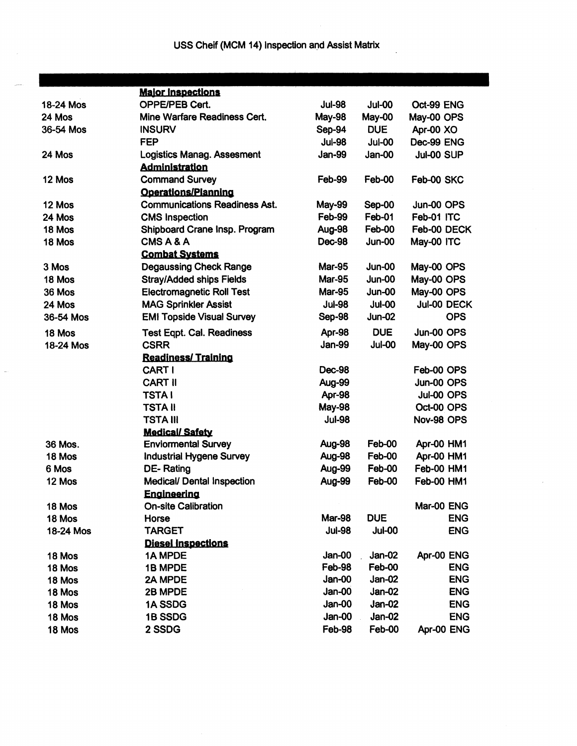|           | <b>Maior Inspections</b>             |                                |               |                   |  |  |
|-----------|--------------------------------------|--------------------------------|---------------|-------------------|--|--|
| 18-24 Mos | <b>OPPE/PEB Cert.</b>                | <b>Jul-98</b>                  | <b>Jul-00</b> | Oct-99 ENG        |  |  |
| 24 Mos    | Mine Warfare Readiness Cert.         | <b>May-98</b>                  | May-00        | May-00 OPS        |  |  |
| 36-54 Mos | <b>INSURV</b>                        | Sep-94                         | <b>DUE</b>    | Apr-00 XO         |  |  |
|           | <b>FEP</b>                           | <b>Jul-98</b>                  | <b>Jul-00</b> | Dec-99 ENG        |  |  |
| 24 Mos    | <b>Logistics Manag. Assesment</b>    | <b>Jan-99</b>                  | <b>Jan-00</b> | Jul-00 SUP        |  |  |
|           | <b>Administration</b>                |                                |               |                   |  |  |
| 12 Mos    | <b>Command Survey</b>                | Feb-99                         | Feb-00        | Feb-00 SKC        |  |  |
|           | Operations/Planning                  |                                |               |                   |  |  |
| 12 Mos    | <b>Communications Readiness Ast.</b> | May-99<br>Sep-00<br>Jun-00 OPS |               |                   |  |  |
| 24 Mos    | <b>CMS Inspection</b>                | Feb-99                         | Feb-01        | Feb-01 ITC        |  |  |
| 18 Mos    | Shipboard Crane Insp. Program        | Aug-98                         | Feb-00        | Feb-00 DECK       |  |  |
| 18 Mos    | CMSA&A                               | <b>Dec-98</b>                  | <b>Jun-00</b> | May-00 ITC        |  |  |
|           | <b>Combat Systems</b>                |                                |               |                   |  |  |
| 3 Mos     | <b>Degaussing Check Range</b>        | <b>Mar-95</b>                  | Jun-00        | May-00 OPS        |  |  |
| 18 Mos    | <b>Stray/Added ships Fields</b>      | <b>Mar-95</b>                  | <b>Jun-00</b> | May-00 OPS        |  |  |
| 36 Mos    | <b>Electromagnetic Roll Test</b>     | <b>Mar-95</b>                  | <b>Jun-00</b> | May-00 OPS        |  |  |
| 24 Mos    | <b>MAG Sprinkler Assist</b>          | <b>Jul-98</b>                  | <b>Jul-00</b> | Jul-00 DECK       |  |  |
| 36-54 Mos | <b>EMI Topside Visual Survey</b>     | Sep-98                         | <b>Jun-02</b> | <b>OPS</b>        |  |  |
| 18 Mos    | <b>Test Eqpt. Cal. Readiness</b>     | Apr-98                         | <b>DUE</b>    | Jun-00 OPS        |  |  |
| 18-24 Mos | <b>CSRR</b>                          | <b>Jan-99</b>                  | <b>Jul-00</b> | May-00 OPS        |  |  |
|           | <b>Readiness/Training</b>            |                                |               |                   |  |  |
|           | CART I                               | <b>Dec-98</b>                  |               | Feb-00 OPS        |  |  |
|           | <b>CART II</b>                       | Aug-99                         |               | Jun-00 OPS        |  |  |
|           | <b>TSTAI</b>                         | <b>Apr-98</b>                  |               | Jul-00 OPS        |  |  |
|           | TSTA II                              | <b>May-98</b>                  |               | Oct-00 OPS        |  |  |
|           | TSTA III                             | <b>Jul-98</b>                  |               | Nov-98 OPS        |  |  |
|           | <b>Medical/Safety</b>                |                                |               |                   |  |  |
| 36 Mos.   | <b>Enviormental Survey</b>           | Aug-98                         | Feb-00        | Apr-00 HM1        |  |  |
| 18 Mos    | <b>Industrial Hygene Survey</b>      | Aug-98                         | Feb-00        | Apr-00 HM1        |  |  |
| 6 Mos     | DE-Rating                            | Aug-99                         | Feb-00        | Feb-00 HM1        |  |  |
| 12 Mos    | <b>Medical/ Dental Inspection</b>    | Aug-99                         | Feb-00        | <b>Feb-00 HM1</b> |  |  |
|           | <b>Engineering</b>                   |                                |               |                   |  |  |
| 18 Mos    | <b>On-site Calibration</b>           |                                |               | Mar-00 ENG        |  |  |
| 18 Mos    | Horse                                | <b>Mar-98</b>                  | <b>DUE</b>    | <b>ENG</b>        |  |  |
| 18-24 Mos | <b>TARGET</b>                        | <b>Jul-98</b>                  | <b>Jul-00</b> | <b>ENG</b>        |  |  |
|           | <b>Diesel Inspections</b>            |                                |               |                   |  |  |
| 18 Mos    | 1A MPDE                              | Jan-00                         | Jan-02        | Apr-00 ENG        |  |  |
| 18 Mos    | 1B MPDE                              | Feb-98                         | Feb-00        | <b>ENG</b>        |  |  |
| 18 Mos    | 2A MPDE                              | Jan-00                         | <b>Jan-02</b> | <b>ENG</b>        |  |  |
| 18 Mos    | 2B MPDE                              | <b>Jan-00</b>                  | $Jan-02$      | <b>ENG</b>        |  |  |
| 18 Mos    | 1A SSDG                              | Jan-00                         | Jan-02        | <b>ENG</b>        |  |  |
| 18 Mos    | 1B SSDG                              | Jan-00                         | Jan-02        | <b>ENG</b>        |  |  |
| 18 Mos    | 2 SSDG                               | Feb-98                         | Feb-00        | Apr-00 ENG        |  |  |

L,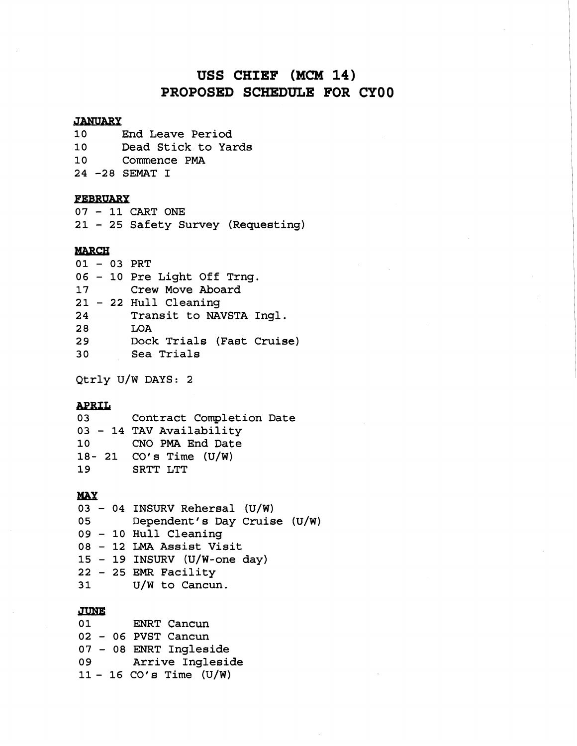# USS CHIEF (MCM 14) **PROPOSED SCHEDULE FOR CYOO**

# JANUARY<br>10 I

End Leave Period Dead Stick to Yards Commence **PMA 24 -28** SEMAT I

# FEBRUARY

**<sup>07</sup>**- **11** CART ONE **<sup>21</sup>**- **25** Safety Survey (Requesting)

# **MARCH**

| .  |  |  |                             |  |  |  |
|----|--|--|-----------------------------|--|--|--|
|    |  |  | $01 - 03$ PRT               |  |  |  |
|    |  |  | 06 - 10 Pre Light Off Trng. |  |  |  |
| 17 |  |  | Crew Move Aboard            |  |  |  |
|    |  |  | 21 - 22 Hull Cleaning       |  |  |  |
| 24 |  |  | Transit to NAVSTA Ingl.     |  |  |  |
| 28 |  |  | LOA                         |  |  |  |
| 29 |  |  | Dock Trials (Fast Cruise)   |  |  |  |
| 30 |  |  | Sea Trials                  |  |  |  |
|    |  |  |                             |  |  |  |

Qtrly **U/W** DAYS: 2

# **APRIL**

Contract Completion Date - **14** TAV Availability CNO **PMA** End Date **18- 21** CO' **s** Time (U/W) SRTT LTT

# *MAX*

- **04** INSURV Rehersal **(U/W)**  Dependent' **s** Day Cruise (U/W) - **10** Hull Cleaning - **12 LMA Assist** Visit - **19 INSURV** (U/W-one day) - **25** EMR Facility **31 U/W** to Cancun.

#### **JUNE**

| 01 |  | ENRT Cancun               |
|----|--|---------------------------|
|    |  | $02 - 06$ PVST Cancun     |
|    |  | 07 - 08 ENRT Ingleside    |
| 09 |  | Arrive Ingleside          |
|    |  | $11 - 16$ CO's Time (U/W) |